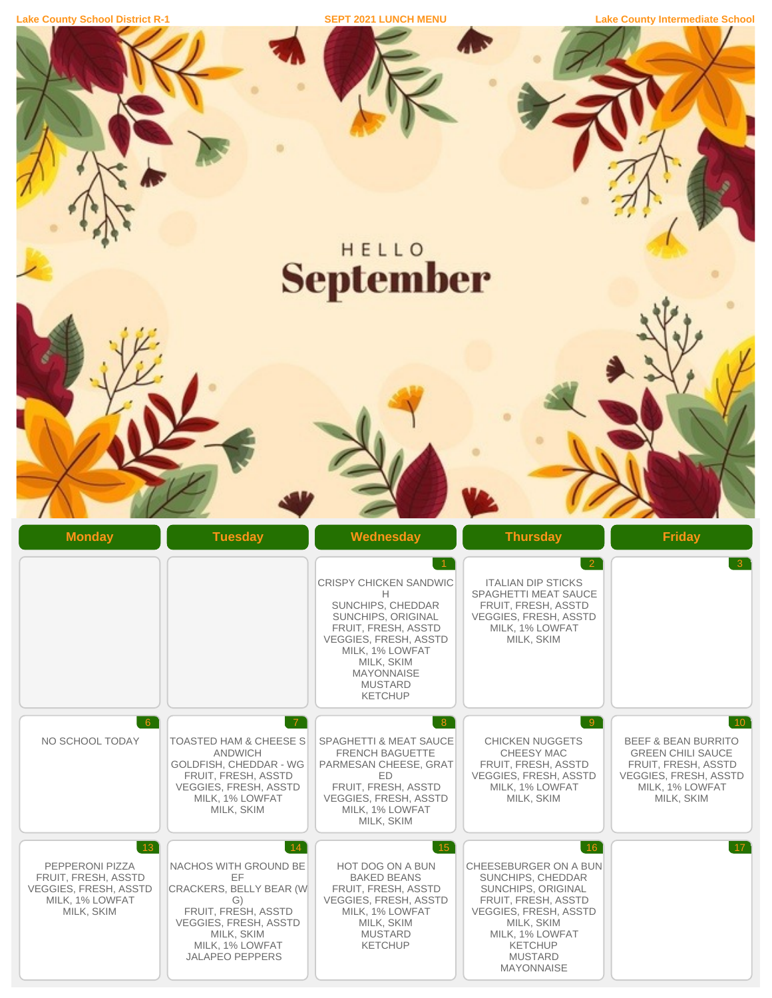|  | <b>Lake County School District R-1</b> |  |
|--|----------------------------------------|--|
|  |                                        |  |

**Lake County Intermediate School Lake County Intermediate School** 

|                                                                                                                        |                                                                                                                                                                                                    | HELLO                                                                                                                                                                                                                                                         |                                                                                                                                                                                                                          |                                                                                                                                                               |
|------------------------------------------------------------------------------------------------------------------------|----------------------------------------------------------------------------------------------------------------------------------------------------------------------------------------------------|---------------------------------------------------------------------------------------------------------------------------------------------------------------------------------------------------------------------------------------------------------------|--------------------------------------------------------------------------------------------------------------------------------------------------------------------------------------------------------------------------|---------------------------------------------------------------------------------------------------------------------------------------------------------------|
|                                                                                                                        |                                                                                                                                                                                                    | <b>September</b>                                                                                                                                                                                                                                              |                                                                                                                                                                                                                          |                                                                                                                                                               |
|                                                                                                                        |                                                                                                                                                                                                    |                                                                                                                                                                                                                                                               |                                                                                                                                                                                                                          |                                                                                                                                                               |
| <b>Monday</b>                                                                                                          | <b>Tuesday</b>                                                                                                                                                                                     | Wednesday<br>$\overline{1}$<br><b>CRISPY CHICKEN SANDWIC</b><br>Н<br>SUNCHIPS, CHEDDAR<br>SUNCHIPS, ORIGINAL<br>FRUIT, FRESH, ASSTD<br><b>VEGGIES, FRESH, ASSTD</b><br>MILK, 1% LOWFAT<br>MILK, SKIM<br><b>MAYONNAISE</b><br><b>MUSTARD</b><br><b>KETCHUP</b> | <b>Thursday</b><br>$\overline{2}$<br><b>ITALIAN DIP STICKS</b><br><b>SPAGHETTI MEAT SAUCE</b><br>FRUIT, FRESH, ASSTD<br><b>VEGGIES, FRESH, ASSTD</b><br>MILK, 1% LOWFAT<br>MILK, SKIM                                    | <b>Friday</b><br>$\overline{3}$                                                                                                                               |
| 6<br>NO SCHOOL TODAY                                                                                                   | $\overline{7}$<br><b>TOASTED HAM &amp; CHEESE S</b><br><b>ANDWICH</b><br>GOLDFISH, CHEDDAR - WG<br>FRUIT, FRESH, ASSTD<br><b>VEGGIES, FRESH, ASSTD</b><br>MILK, 1% LOWFAT<br>MILK, SKIM            | 8<br><b>SPAGHETTI &amp; MEAT SAUCE</b><br><b>FRENCH BAGUETTE</b><br>PARMESAN CHEESE, GRAT<br>ED<br>FRUIT, FRESH, ASSTD<br><b>VEGGIES, FRESH, ASSTD</b><br>MILK, 1% LOWFAT<br>MILK, SKIM                                                                       | $\overline{9}$<br><b>CHICKEN NUGGETS</b><br><b>CHEESY MAC</b><br>FRUIT, FRESH, ASSTD<br><b>VEGGIES, FRESH, ASSTD</b><br>MILK, 1% LOWFAT<br>MILK, SKIM                                                                    | $10^{\degree}$<br><b>BEEF &amp; BEAN BURRITO</b><br><b>GREEN CHILI SAUCE</b><br>FRUIT, FRESH, ASSTD<br>VEGGIES, FRESH, ASSTD<br>MILK, 1% LOWFAT<br>MILK, SKIM |
| $\lceil 13 \rceil$<br>PEPPERONI PIZZA<br>FRUIT, FRESH, ASSTD<br>VEGGIES, FRESH, ASSTD<br>MILK, 1% LOWFAT<br>MILK, SKIM | $\binom{14}{ }$<br>NACHOS WITH GROUND BE<br>EF<br>CRACKERS, BELLY BEAR (W<br>G)<br>FRUIT, FRESH, ASSTD<br><b>VEGGIES, FRESH, ASSTD</b><br>MILK, SKIM<br>MILK, 1% LOWFAT<br><b>JALAPEÑO PEPPERS</b> | $\boxed{15}$<br>HOT DOG ON A BUN<br><b>BAKED BEANS</b><br>FRUIT, FRESH, ASSTD<br><b>VEGGIES, FRESH, ASSTD</b><br>MILK, 1% LOWFAT<br>MILK, SKIM<br><b>MUSTARD</b><br><b>KETCHUP</b>                                                                            | 16 <br>CHEESEBURGER ON A BUN<br>SUNCHIPS, CHEDDAR<br>SUNCHIPS, ORIGINAL<br>FRUIT, FRESH, ASSTD<br><b>VEGGIES, FRESH, ASSTD</b><br>MILK, SKIM<br>MILK, 1% LOWFAT<br><b>KETCHUP</b><br><b>MUSTARD</b><br><b>MAYONNAISE</b> | $17^{\circ}$                                                                                                                                                  |